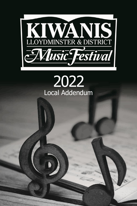

# 2022 Local Addendum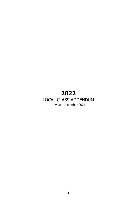#### **2022** LOCAL CLASS ADDENDUM Revised December 2021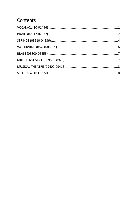# Contents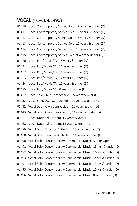# <span id="page-4-0"></span>VOCAL (01410-01496)

- 01410 Vocal Contemporary Sacred Solo, 18 years & under (D)
- 01411 Vocal Contemporary Sacred Solo, 16 years & under (D)
- 01412 Vocal Contemporary Sacred Solo, 14 years & under (D)
- 01413 Vocal Contemporary Sacred Solo, 12 years & under (D)
- 01414 Vocal Contemporary Sacred Solo, 10 years & under (D)
- 01415 Vocal Contemporary Sacred Solo, 8 years & under (D)
- 01420 Vocal Pop/Movie/TV, 18 years & under (D)
- 01421 Vocal Pop/Movie/TV, 16 years & under (D)
- 01422 Vocal Pop/Movie/TV, 14 years & under (D)
- 01423 Vocal Pop/Movie/TV, 12 years & under (D)
- 01424 Vocal Pop/Movie/TV, 10 years & under (D)
- 01425 Vocal Pop/Movie/TV, 8 years & under (D)
- 01432 Vocal Solo, Own Composition, 15 years & over (D)
- 01433 Vocal Solo, Own Composition, 14 years & under (D)
- 01442 Vocal Duet, Own Composition, 15 years & over (D)
- 01443 Vocal Duet, Own Composition, 14 years & under (D)
- 01467 Vocal National Anthem, 15 years & over (D)
- 01468 Vocal National Anthem, 14 years & under (D)
- 01479 Vocal Duet, Teacher & Student, 15 years & over (D)
- 01480 Vocal Duet, Teacher & Student, 14 years & under (D)
- 01490 Vocal Solo, Contemporary Commercial Music, Senior Open (D)
- 01491 Vocal Solo, Contemporary Commercial Music, 18 yrs, & under (D)
- 01492 Vocal Solo, Contemporary Commercial Music, 16 yrs & under (D)
- 01493 Vocal Solo, Contemporary Commercial Music, 14 yrs & under (D)
- 01494 Vocal Solo, Contemporary Commercial Music, 12 yrs & under (D)
- 01495 Vocal Solo, Contemporary Commercial Music, 10 yrs & under (D)
- 01496 Vocal Solo, Contemporary Commercial Music, 8 yrs & under (D)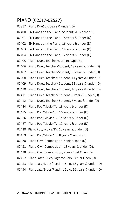#### <span id="page-5-0"></span>PIANO (02317-02527)

- Piano Due1t, 6 years & under (D) Six Hands on the Piano, Students & Teacher (D) Six Hands on the Piano, 18 years & under (D) Six Hands on the Piano, 16 years & under (D) Six Hands on the Piano, 14 years & under (D) Six Hands on the Piano, 12 years & under (D) Piano Duet, Teacher/Student, Open (D) Piano Duet, Teacher/Student, 18 years & under (D) Piano Duet, Teacher/Student, 16 years & under (D) Piano Duet, Teacher/ Student, 14 years & under (D) Piano Duet, Teacher/ Student, 12 years & under (D) Piano Duet, Teacher/ Student, 10 years & under (D) Piano Duet, Teacher/ Student, 8 years & under (D) Piano Duet, Teacher/ Student, 6 years & under (D) Piano Pop/Movie/TV, 18 years & under (D) Piano Pop/Movie/TV, 16 years & under (D) Piano Pop/Movie/TV, 14 years & under (D) Piano Pop/Movie/TV, 12 years & under (D) 02428 Piano Pop/Movie/TV, 10 years & under (D) Piano Pop/Movie/TV, 8 years & under (D) Piano Own Composition, Senior Open (D)
- Piano Own Composition, 18 years & under (D),
- Piano Own Composition, Piano Duet Open (D)
- Piano Jazz/ Blues/Ragtime Solo, Senior Open (D)
- Piano Jazz/Blues/Ragtime Solo, 18 years & under (D)
- Piano Jazz/Blues/Ragtime Solo, 16 years & under (D)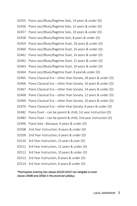- Piano Jazz/Blues/Ragtime Solo, 14 years & under (D)
- Piano Jazz/Blues/Ragtime Solo, 12 years & under (D)
- Piano Jazz/Blues/Ragtime Solo, 10 years & under (D)
- Piano Jazz/Blues/Ragtime Solo, 8 years & under (D)
- Piano Jazz/Blues/Ragtime Duet, 18 years & under (D)
- Piano Jazz/Blues/Ragtime Duet, 16 years & under (D)
- Piano Jazz/Blues/Ragtime Duet, 14 years & under (D)
- Piano Jazz/Blues/Ragtime Duet, 12 years & under (D)
- Piano Jazz/Blues/Ragtime Duet, 10 years & under (D)
- Piano Jazz/Blues/Ragtime Duet, 8 years& under (D)
- Piano Classical Era other than Sonata, 18 years & under (D)
- Piano Classical Era other than Sonata, 16 years & under (D)
- Piano Classical Era other than Sonata, 14 years & under (D)
- Piano Classical Era other than Sonata, 12 years & under (D)
- Piano Classical Era other than Sonata, 10 years & under (D)
- Piano Classical Era other than Sonata, 8 years & under (D)
- Piano Duet can be parent & child, 1st year instruction (D)
- Piano Duet can be parent & child, 2nd year instruction (D)
- Piano Solo Baroque, 6 years & under (D)
- 2nd Year Instruction, 8 years & under (D)
- 2nd Year Instruction, 6 years & under (D)
- 3rd Year Instruction, 13 years & over (D)
- 3rd Year Instruction, 12 years & under (D)
- 3rd Year Instruction, 10 years & under (D)
- 3rd Year Instruction, 8 years & under (D)
- 3rd Year Instruction, 6 years & under (D)

*\*Participants entering into classes 02520-02527 are ineligible to enter classes 20580 and 20582 in the provincial syllabus.*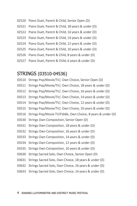- Piano Duet, Parent & Child, Senior Open (D)
- Piano Duet, Parent & Child, 18 years & under (D)
- Piano Duet, Parent & Child, 16 years & under (D)
- Piano Duet, Parent & Child, 14 years & under (D)
- Piano Duet, Parent & Child, 12 years & under (D)
- Piano Duet, Parent & Child, 10 years & under (D)
- Piano Duet, Parent & Child, 8 years & under (D)
- <span id="page-7-0"></span>Piano Duet, Parent & Child, 6 years & under (D)

#### STRINGS (03510-04536)

- Strings Pop/Movie/TV/, Own Choice, Senior Open (D)
- Strings Pop/Movie/TV/, Own Choice, 18 years & under (D)
- Strings Pop/Movie/TV/, Own Choice, 16 years & under (D)
- Strings Pop/Movie/TV/, Own Choice, 14 years & under (D)
- Strings Pop/Movie/TV/, Own Choice, 12 years & under (D)
- Strings Pop/Movie/TV/, Own Choice, 10 years & under (D)
- Strings Pop/Movie TV/Fiddle, Own Choice, 8 years & under (D)
- Strings Own Composition, Senior Open (D)
- Strings Own Composition, 18 years & under (D)
- Strings Own Composition, 16 years & under (D)
- Strings Own Composition, 14 years & under (D)
- Strings Own Composition, 12 years & under (D)
- Strings Own Composition, 10 years & under (D)
- Strings Sacred Solo, Own Choice, Senior Open (D)
- Strings Sacred Solo, Own Choice, 18 years & under (D)
- Strings Sacred Solo, Own Choice, 16 years & under (D)
- Strings Sacred Solo, Own Choice, 14 years & under (D)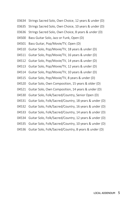- Strings Sacred Solo, Own Choice, 12 years & under (D)
- Strings Sacred Solo, Own Choice, 10 years & under (D)
- Strings Sacred Solo, Own Choice, 8 years & under (D)
- Bass Guitar Solo, Jazz or Funk, Open (D)
- Bass Guitar, Pop/Movie/TV, Open (D)
- Guitar Solo, Pop/Movie/TV, 18 years & under (D)
- Guitar Solo, Pop/Movie/TV, 16 years & under (D)
- Guitar Solo, Pop/Movie/TV, 14 years & under (D)
- Guitar Solo, Pop/Movie/TV, 12 years & under (D)
- Guitar Solo, Pop/Movie/TV, 10 years & under (D)
- Guitar Solo, Pop/Movie/TV, 8 years & under (D)
- Guitar Solo, Own Composition, 15 years & older (D)
- Guitar Solo, Own Composition, 14 years & under (D)
- Guitar Solo, Folk/Sacred/Country, Senior Open (D)
- Guitar Solo, Folk/Sacred/Country, 18 years & under (D)
- Guitar Solo, Folk/Sacred/Country, 16 years & under (D)
- Guitar Solo, Folk/Sacred/Country, 14 years & under (D)
- Guitar Solo, Folk/Sacred/Country, 12 years & under (D)
- Guitar Solo, Folk/Sacred/Country, 10 years & under (D)
- Guitar Solo, Folk/Sacred/Country, 8 years & under (D)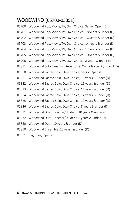#### <span id="page-9-0"></span>WOODWIND (05700-05851)

- Woodwind Pop/Movie/TV, Own Choice, Senior Open (D) Woodwind Pop/Movie/TV, Own Choice, 18 years & under (D) Woodwind Pop/Movie/TV, Own Choice, 16 years & under (D) Woodwind Pop/Movie/TV, Own Choice, 14 years & under (D) Woodwind Pop/Movie/TV, Own Choice, 12 years & under (D) Woodwind Pop/Movie/TV, Own Choice, 10 years & under (D) Woodwind Pop/Movie/TV, Own Choice, 8 years & under (D) Woodwind Solo Canadian Repertoire, Own Choice, 8 yrs & U (D) Woodwind Sacred Solo, Own Choice, Senior Open (D) Woodwind Sacred Solo, Own Choice, 18 years & under (D) Woodwind Sacred Solo, Own Choice, 16 years & under (D) Woodwind Sacred Solo, Own Choice, 14 years & under (D) Woodwind Sacred Solo, Own Choice, 12 years & under (D) Woodwind Sacred Solo, Own Choice, 10 years & under (D) Woodwind Sacred Solo, Own Choice, 8 years & under (D) Woodwind Duet, Teacher/Student, 10 years & under (D) Woodwind Duet, Teacher/Student, 8 years & under (D) Woodwind Duet, 10 years & under (D) Woodwind Ensemble, 10 years & under (D)
- Bagpipes, Open (D)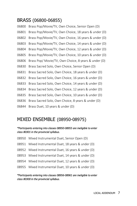## <span id="page-10-0"></span>BRASS (06800-06855)

| 06800 | Brass Pop/Movie/TV, Own Choice, Senior Open (D)      |
|-------|------------------------------------------------------|
| 06801 | Brass Pop/Movie/TV, Own Choice, 18 years & under (D) |
| 06802 | Brass Pop/Movie/TV, Own Choice, 16 years & under (D) |
| 06803 | Brass Pop/Movie/TV, Own Choice, 14 years & under (D) |
| 06804 | Brass Pop/Movie/TV, Own Choice, 12 years & under (D) |
| 06805 | Brass Pop/Movie/TV, Own Choice, 10 years & under (D) |
| 06806 | Brass Pop/ Movie/TV, Own Choice, 8 years & under (D) |
| 06830 | Brass Sacred Solo, Own Choice, Senior Open (D)       |
| 06831 | Brass Sacred Solo, Own Choice, 18 years & under (D)  |
| 06832 | Brass Sacred Solo, Own Choice, 16 years & under (D)  |
| 06833 | Brass Sacred Solo, Own Choice, 14 years & under (D)  |
| 06834 | Brass Sacred Solo, Own Choice, 12 years & under (D)  |
| 06835 | Brass Sacred Solo, Own Choice, 10 years & under (D)  |
| 06836 | Brass Sacred Solo, Own Choice, 8 years & under (D)   |
|       |                                                      |

<span id="page-10-1"></span>Brass Duet, 10 years & under (D)

#### MIXED ENSEMBLE (08950-08975)

#### *\*Participants entering into classes 08950-08955 are ineligible to enter class 80301 in the provincial syllabus.*

- Mixed Instrumental Duet, Senior Open (D)
- Mixed Instrumental Duet, 18 years & under (D)
- Mixed Instrumental Duet, 16 years & under (D)
- Mixed Instrumental Duet, 14 years & under (D)
- Mixed Instrumental Duet, 12 years & under (D)
- Mixed Instrumental Duet, 10 years & under (D)

#### *\*Participants entering into classes 08956-08961 are ineligible to enter class 80300 in the provincial syllabus.*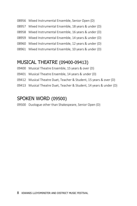- Mixed Instrumental Ensemble, Senior Open (D)
- Mixed Instrumental Ensemble, 18 years & under (D)
- Mixed Instrumental Ensemble, 16 years & under (D)
- Mixed Instrumental Ensemble, 14 years & under (D)
- Mixed Instrumental Ensemble, 12 years & under (D)
- <span id="page-11-0"></span>Mixed Instrumental Ensemble, 10 years & under (D)

## MUSICAL THEATRE (09400-09413)

- Musical Theatre Ensemble, 15 years & over (D)
- Musical Theatre Ensemble, 14 years & under (D)
- Musical Theatre Duet, Teacher & Student, 15 years & over (D)
- <span id="page-11-1"></span>Musical Theatre Duet, Teacher & Student, 14 years & under (D)

## SPOKEN WORD (09500)

Duologue other than Shakespeare, Senior Open (D)